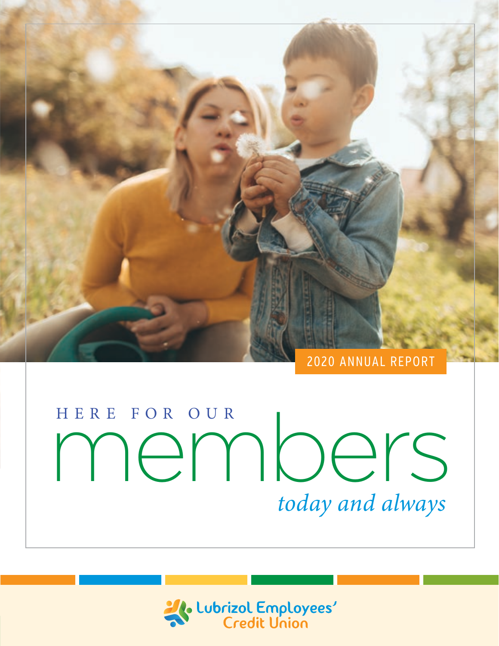

#### 2020 ANNUAL REPORT

# HERE FOR OUR<br>MemorierS *today and always*

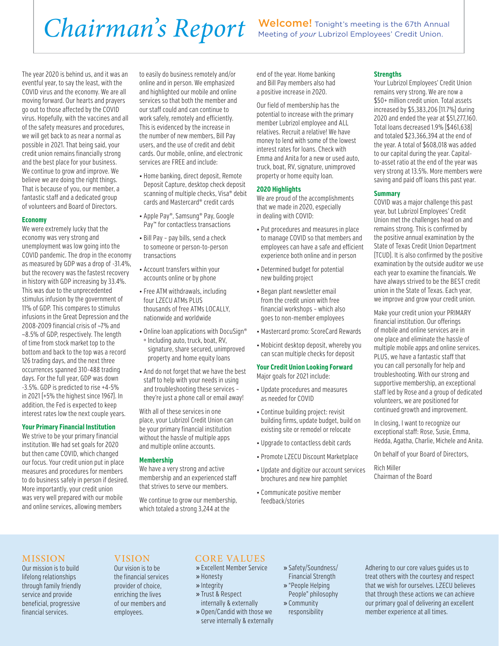## Chairman's Report Welcome! Tonight's meeting is the 67th Annual

The year 2020 is behind us, and it was an eventful year, to say the least, with the COVID virus and the economy. We are all moving forward. Our hearts and prayers go out to those affected by the COVID virus. Hopefully, with the vaccines and all of the safety measures and procedures, we will get back to as near a normal as possible in 2021. That being said, your credit union remains financially strong and the best place for your business. We continue to grow and improve. We believe we are doing the right things. That is because of you, our member, a fantastic staff and a dedicated group of volunteers and Board of Directors.

#### **Economy**

We were extremely lucky that the economy was very strong and unemployment was low going into the COVID pandemic. The drop in the economy as measured by GDP was a drop of -31.4%, but the recovery was the fastest recovery in history with GDP increasing by 33.4%. This was due to the unprecedented stimulus infusion by the government of 11% of GDP. This compares to stimulus infusions in the Great Depression and the 2008-2009 financial crisis of ~7% and ~8.5% of GDP, respectively. The length of time from stock market top to the bottom and back to the top was a record 126 trading days, and the next three occurrences spanned 310-488 trading days. For the full year, GDP was down -3.5%. GDP is predicted to rise +4-5% in 2021 (+5% the highest since 1967). In addition, the Fed is expected to keep interest rates low the next couple years.

#### **Your Primary Financial Institution**

We strive to be your primary financial institution. We had set goals for 2020 but then came COVID, which changed our focus. Your credit union put in place measures and procedures for members to do business safely in person if desired. More importantly, your credit union was very well prepared with our mobile and online services, allowing members

to easily do business remotely and/or online and in person. We emphasized and highlighted our mobile and online services so that both the member and our staff could and can continue to work safely, remotely and efficiently. This is evidenced by the increase in the number of new members, Bill Pay users, and the use of credit and debit cards. Our mobile, online, and electronic services are FREE and include:

- Home banking, direct deposit, Remote Deposit Capture, desktop check deposit scanning of multiple checks, Visa® debit cards and Mastercard® credit cards
- Apple Pay®, Samsung® Pay, Google Pay™ for contactless transactions
- Bill Pay pay bills, send a check to someone or person-to-person transactions
- Account transfers within your accounts online or by phone
- Free ATM withdrawals, including four LZECU ATMs PLUS thousands of free ATMs LOCALLY, nationwide and worldwide
- Online loan applications with DocuSign® ° Including auto, truck, boat, RV, signature, share secured, unimproved property and home equity loans
- And do not forget that we have the best staff to help with your needs in using and troubleshooting these services – they're just a phone call or email away!

With all of these services in one place, your Lubrizol Credit Union can be your primary financial institution without the hassle of multiple apps and multiple online accounts.

#### **Membership**

We have a very strong and active membership and an experienced staff that strives to serve our members.

We continue to grow our membership, which totaled a strong 3,244 at the

end of the year. Home banking and Bill Pay members also had a positive increase in 2020.

Our field of membership has the potential to increase with the primary member Lubrizol employee and ALL relatives. Recruit a relative! We have money to lend with some of the lowest interest rates for loans. Check with Emma and Anita for a new or used auto, truck, boat, RV, signature, unimproved property or home equity loan.

#### **2020 Highlights**

We are proud of the accomplishments that we made in 2020, especially in dealing with COVID:

- Put procedures and measures in place to manage COVID so that members and employees can have a safe and efficient experience both online and in person
- Determined budget for potential new building project
- Began plant newsletter email from the credit union with free financial workshops – which also goes to non-member employees
- Mastercard promo: ScoreCard Rewards
- Mobicint desktop deposit, whereby you can scan multiple checks for deposit

#### **Your Credit Union Looking Forward**

Major goals for 2021 include:

- Update procedures and measures as needed for COVID
- Continue building project: revisit building firms, update budget, build on existing site or remodel or relocate
- Upgrade to contactless debit cards
- Promote LZECU Discount Marketplace
- Update and digitize our account services brochures and new hire pamphlet
- Communicate positive member feedback/stories

#### **Strengths**

Your Lubrizol Employees' Credit Union remains very strong. We are now a \$50+ million credit union. Total assets increased by \$5,383,206 (11.7%) during 2020 and ended the year at \$51,277,160. Total loans decreased 1.9% (\$461,638) and totaled \$23,366,394 at the end of the year. A total of \$608,018 was added to our capital during the year. Capitalto-asset ratio at the end of the year was very strong at 13.5%. More members were saving and paid off loans this past year.

#### **Summary**

COVID was a major challenge this past year, but Lubrizol Employees' Credit Union met the challenges head on and remains strong. This is confirmed by the positive annual examination by the State of Texas Credit Union Department (TCUD). It is also confirmed by the positive examination by the outside auditor we use each year to examine the financials. We have always strived to be the BEST credit union in the State of Texas. Each year, we improve and grow your credit union.

Make your credit union your PRIMARY financial institution. Our offerings of mobile and online services are in one place and eliminate the hassle of multiple mobile apps and online services. PLUS, we have a fantastic staff that you can call personally for help and troubleshooting. With our strong and supportive membership, an exceptional staff led by Rose and a group of dedicated volunteers, we are positioned for continued growth and improvement.

In closing, I want to recognize our exceptional staff: Rose, Susie, Emma, Hedda, Agatha, Charlie, Michele and Anita.

On behalf of your Board of Directors,

Rich Miller Chairman of the Board

#### MISSION

Our mission is to build lifelong relationships through family friendly service and provide beneficial, progressive financial services.

#### VISION

Our vision is to be the financial services provider of choice, enriching the lives of our members and employees.

#### CORE VALUES

- » Excellent Member Service
- » Honesty
- » Integrity
- » Trust & Respect
- internally & externally » Open/Candid with those we serve internally & externally
- » Safety/Soundness/ Financial Strength
- » "People Helping People" philosophy
- » Community responsibility

Adhering to our core values guides us to treat others with the courtesy and respect that we wish for ourselves. LZECU believes that through these actions we can achieve our primary goal of delivering an excellent member experience at all times.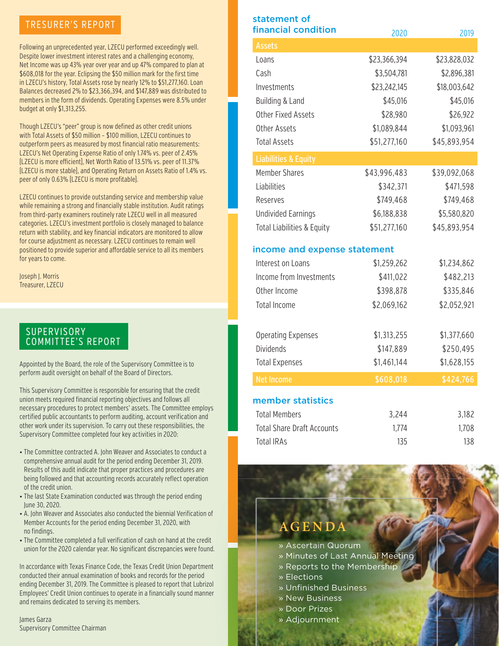#### TRESURER'S REPORT

Following an unprecedented year, LZECU performed exceedingly well. Despite lower investment interest rates and a challenging economy, Net Income was up 43% year over year and up 47% compared to plan at \$608,018 for the year. Eclipsing the \$50 million mark for the first time in LZECU's history, Total Assets rose by nearly 12% to \$51,277,160. Loan Balances decreased 2% to \$23,366,394, and \$147,889 was distributed to members in the form of dividends. Operating Expenses were 8.5% under budget at only \$1,313,255.

Though LZECU's "peer" group is now defined as other credit unions with Total Assets of \$50 million – \$100 million, LZECU continues to outperform peers as measured by most financial ratio measurements: LZECU's Net Operating Expense Ratio of only 1.74% vs. peer of 2.45% (LZECU is more efficient), Net Worth Ratio of 13.51% vs. peer of 11.37% (LZECU is more stable), and Operating Return on Assets Ratio of 1.4% vs. peer of only 0.63% (LZECU is more profitable).

LZECU continues to provide outstanding service and membership value while remaining a strong and financially stable institution. Audit ratings from third-party examiners routinely rate LZECU well in all measured categories. LZECU's investment portfolio is closely managed to balance return with stability, and key financial indicators are monitored to allow for course adjustment as necessary. LZECU continues to remain well positioned to provide superior and affordable service to all its members for years to come.

Joseph J. Morris Treasurer, LZECU

#### **SUPERVISORY** COMMITTEE'S REPORT

Appointed by the Board, the role of the Supervisory Committee is to perform audit oversight on behalf of the Board of Directors.

This Supervisory Committee is responsible for ensuring that the credit union meets required financial reporting objectives and follows all necessary procedures to protect members' assets. The Committee employs certified public accountants to perform auditing, account verification and other work under its supervision. To carry out these responsibilities, the Supervisory Committee completed four key activities in 2020:

- The Committee contracted A. John Weaver and Associates to conduct a comprehensive annual audit for the period ending December 31, 2019. Results of this audit indicate that proper practices and procedures are being followed and that accounting records accurately reflect operation of the credit union.
- The last State Examination conducted was through the period ending June 30, 2020.
- A. John Weaver and Associates also conducted the biennial Verification of Member Accounts for the period ending December 31, 2020, with no findings.
- The Committee completed a full verification of cash on hand at the credit union for the 2020 calendar year. No significant discrepancies were found.

In accordance with Texas Finance Code, the Texas Credit Union Department conducted their annual examination of books and records for the period ending December 31, 2019. The Committee is pleased to report that Lubrizol Employees' Credit Union continues to operate in a financially sound manner and remains dedicated to serving its members.

James Garza Supervisory Committee Chairman

| statement of<br>financial condition   |              |              |
|---------------------------------------|--------------|--------------|
|                                       | 2020         | 2019         |
| <b>Assets</b>                         |              |              |
| Loans                                 | \$23,366,394 | \$23,828,032 |
| Cash                                  | \$3,504,781  | \$2,896,381  |
| Investments                           | \$23,242,145 | \$18,003,642 |
| Building & Land                       | \$45,016     | \$45,016     |
| <b>Other Fixed Assets</b>             | \$28,980     | \$26,922     |
| Other Assets                          | \$1,089,844  | \$1,093,961  |
| <b>Total Assets</b>                   | \$51,277,160 | \$45,893,954 |
| <b>Liabilities &amp; Equity</b>       |              |              |
| <b>Member Shares</b>                  | \$43,996,483 | \$39,092,068 |
| Liabilities                           | \$342,371    | \$471,598    |
| Reserves                              | \$749,468    | \$749,468    |
| <b>Undivided Earnings</b>             | \$6,188,838  | \$5,580,820  |
| <b>Total Liabilities &amp; Equity</b> | \$51,277,160 | \$45,893,954 |
| income and expense statement          |              |              |
| Interest on Loans                     | \$1,259,262  | \$1,234,862  |
| Income from Investments               | \$411,022    | \$482,213    |
| Other Income                          | \$398,878    | \$335,846    |
| <b>Total Income</b>                   | \$2,069,162  | \$2,052,921  |
|                                       |              |              |
| <b>Operating Expenses</b>             | \$1,313,255  | \$1,377,660  |
| <b>Dividends</b>                      | \$147,889    | \$250,495    |
| <b>Total Expenses</b>                 | \$1,461,144  | \$1,628,155  |
| <b>Net Income</b>                     | \$608,018    | \$424,766    |
| member statistics                     |              |              |
| <b>Total Members</b>                  | 3,244        | 3,182        |

# Total IRAs 138

Total Share Draft Accounts 1,774 1,708

#### **GEN**

- » Ascertain Quorum
- » Minutes of Last Annual Meeting
- » Reports to the Membership
	- » Elections
- » Unfinished Business
- » New Business
- » Door Prizes
- » Adjournment